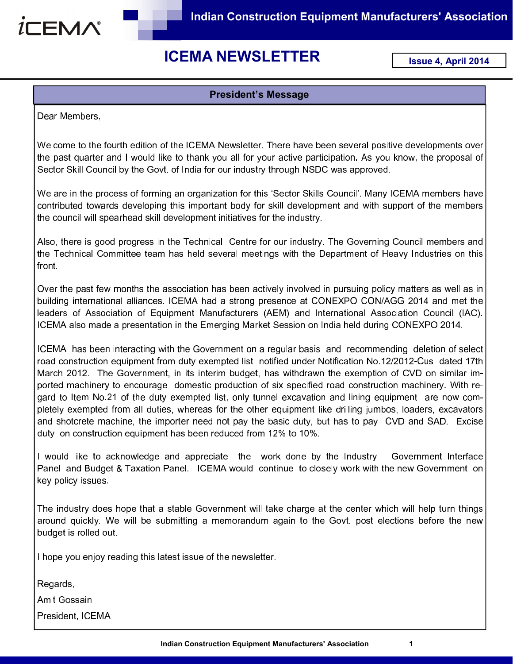

# ICEMA NEWSLETTER

Issue 4, April 2014

#### President's Message

Dear Members,

Welcome to the fourth edition of the ICEMA Newsletter. There have been several positive developments over the past quarter and I would like to thank you all for your active participation. As you know, the proposal of Sector Skill Council by the Govt. of India for our industry through NSDC was approved.

We are in the process of forming an organization for this 'Sector Skills Council'. Many ICEMA members have contributed towards developing this important body for skill development and with support of the members the council will spearhead skill development initiatives for the industry.

Also, there is good progress in the Technical Centre for our industry. The Governing Council members and the Technical Committee team has held several meetings with the Department of Heavy Industries on this front.

Over the past few months the association has been actively involved in pursuing policy matters as well as in building international alliances. ICEMA had a strong presence at CONEXPO CON/AGG 2014 and met the leaders of Association of Equipment Manufacturers (AEM) and International Association Council (IAC). ICEMA also made a presentation in the Emerging Market Session on India held during CONEXPO 2014.

ICEMA has been interacting with the Government on a regular basis and recommending deletion of select road construction equipment from duty exempted list notified under Notification No.12/2012-Cus dated 17th March 2012. The Government, in its interim budget, has withdrawn the exemption of CVD on similar imported machinery to encourage domestic production of six specified road construction machinery. With regard to Item No.21 of the duty exempted list, only tunnel excavation and lining equipment are now completely exempted from all duties, whereas for the other equipment like drilling jumbos, loaders, excavators and shotcrete machine, the importer need not pay the basic duty, but has to pay CVD and SAD. Excise duty on construction equipment has been reduced from 12% to 10%.

I would like to acknowledge and appreciate the work done by the Industry – Government Interface Panel and Budget & Taxation Panel. ICEMA would continue to closely work with the new Government on key policy issues.

The industry does hope that a stable Government will take charge at the center which will help turn things around quickly. We will be submitting a memorandum again to the Govt. post elections before the new budget is rolled out.

I hope you enjoy reading this latest issue of the newsletter.

Regards,

Amit Gossain

President, ICEMA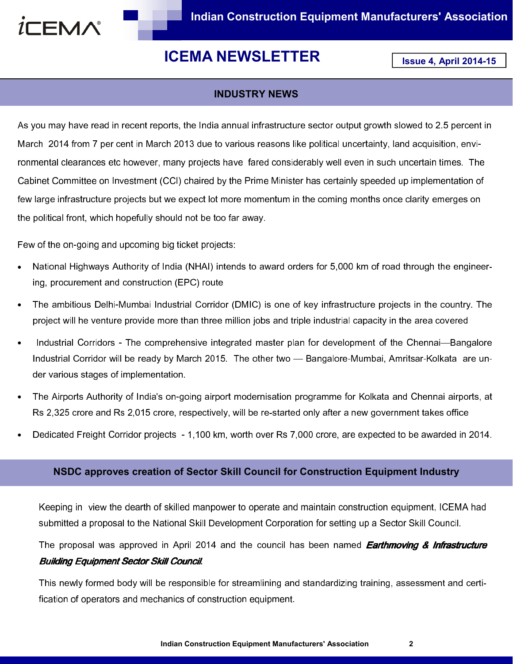

# ICEMA NEWSLETTER **ISSUE 4, April 2014-15**

# INDUSTRY NEWS

As you may have read in recent reports, the India annual infrastructure sector output growth slowed to 2.5 percent in March 2014 from 7 per cent in March 2013 due to various reasons like political uncertainty, land acquisition, environmental clearances etc however, many projects have fared considerably well even in such uncertain times. The Cabinet Committee on Investment (CCI) chaired by the Prime Minister has certainly speeded up implementation of few large infrastructure projects but we expect lot more momentum in the coming months once clarity emerges on the political front, which hopefully should not be too far away.

Few of the on-going and upcoming big ticket projects:

- National Highways Authority of India (NHAI) intends to award orders for 5,000 km of road through the engineering, procurement and construction (EPC) route
- The ambitious Delhi-Mumbai Industrial Corridor (DMIC) is one of key infrastructure projects in the country. The project will he venture provide more than three million jobs and triple industrial capacity in the area covered
- Industrial Corridors The comprehensive integrated master plan for development of the Chennai—Bangalore Industrial Corridor will be ready by March 2015. The other two — Bangalore-Mumbai, Amritsar-Kolkata are under various stages of implementation.
- The Airports Authority of India's on-going airport modernisation programme for Kolkata and Chennai airports, at Rs 2,325 crore and Rs 2,015 crore, respectively, will be re-started only after a new government takes office
- Dedicated Freight Corridor projects 1,100 km, worth over Rs 7,000 crore, are expected to be awarded in 2014.

## NSDC approves creation of Sector Skill Council for Construction Equipment Industry

Keeping in view the dearth of skilled manpower to operate and maintain construction equipment, ICEMA had submitted a proposal to the National Skill Development Corporation for setting up a Sector Skill Council.

The proposal was approved in April 2014 and the council has been named Earthmoving & Infrastructure Building Equipment Sector Skill Council.

This newly formed body will be responsible for streamlining and standardizing training, assessment and certification of operators and mechanics of construction equipment.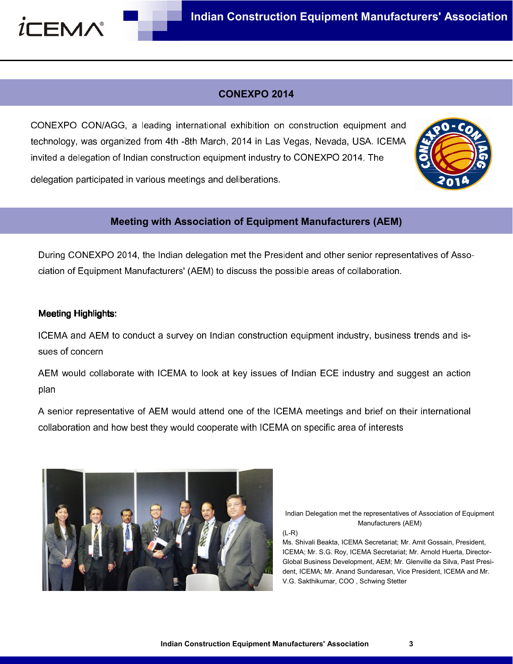

# CONEXPO 2014

CONEXPO CON/AGG, a leading international exhibition on construction equipment and technology, was organized from 4th -8th March, 2014 in Las Vegas, Nevada, USA. ICEMA invited a delegation of Indian construction equipment industry to CONEXPO 2014. The

delegation participated in various meetings and deliberations.

## Meeting with Association of Equipment Manufacturers (AEM)

During CONEXPO 2014, the Indian delegation met the President and other senior representatives of Association of Equipment Manufacturers' (AEM) to discuss the possible areas of collaboration.

## **Meeting Highlights:**

ICEMA and AEM to conduct a survey on Indian construction equipment industry, business trends and issues of concern

AEM would collaborate with ICEMA to look at key issues of Indian ECE industry and suggest an action plan

A senior representative of AEM would attend one of the ICEMA meetings and brief on their international collaboration and how best they would cooperate with ICEMA on specific area of interests



Indian Delegation met the representatives of Association of Equipment Manufacturers (AEM)

(L-R)

Ms. Shivali Beakta, ICEMA Secretariat; Mr. Amit Gossain, President, ICEMA; Mr. S.G. Roy, ICEMA Secretariat; Mr. Arnold Huerta, Director-Global Business Development, AEM; Mr. Glenville da Silva, Past President, ICEMA; Mr. Anand Sundaresan, Vice President, ICEMA and Mr. V.G. Sakthikumar, COO , Schwing Stetter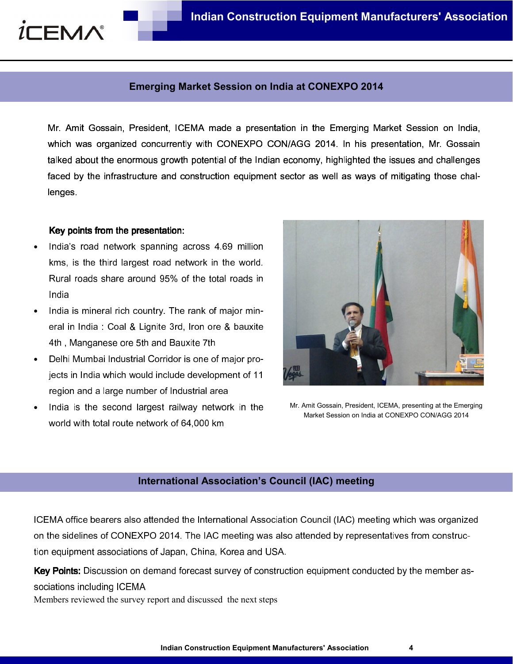

#### Emerging Market Session on India at CONEXPO 2014

Mr. Amit Gossain, President, ICEMA made a presentation in the Emerging Market Session on India, which was organized concurrently with CONEXPO CON/AGG 2014. In his presentation, Mr. Gossain talked about the enormous growth potential of the Indian economy, highlighted the issues and challenges faced by the infrastructure and construction equipment sector as well as ways of mitigating those challenges.

#### Key points from the presentation:

- India's road network spanning across 4.69 million kms, is the third largest road network in the world. Rural roads share around 95% of the total roads in India
- India is mineral rich country. The rank of major mineral in India : Coal & Lignite 3rd, Iron ore & bauxite 4th , Manganese ore 5th and Bauxite 7th
- Delhi Mumbai Industrial Corridor is one of major projects in India which would include development of 11 region and a large number of Industrial area
- India is the second largest railway network in the world with total route network of 64,000 km



Mr. Amit Gossain, President, ICEMA, presenting at the Emerging Market Session on India at CONEXPO CON/AGG 2014

# International Association's Council (IAC) meeting

ICEMA office bearers also attended the International Association Council (IAC) meeting which was organized on the sidelines of CONEXPO 2014. The IAC meeting was also attended by representatives from construction equipment associations of Japan, China, Korea and USA.

Key Points: Discussion on demand forecast survey of construction equipment conducted by the member associations including ICEMA

Members reviewed the survey report and discussed the next steps